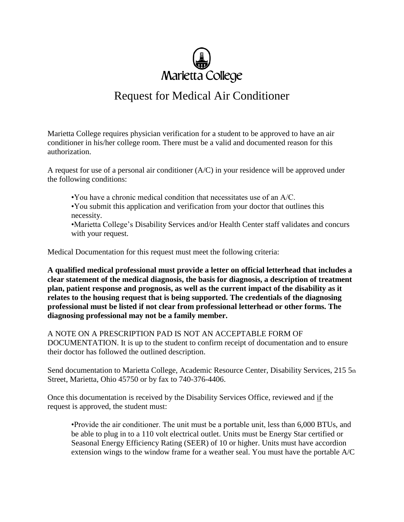

## Request for Medical Air Conditioner

Marietta College requires physician verification for a student to be approved to have an air conditioner in his/her college room. There must be a valid and documented reason for this authorization.

A request for use of a personal air conditioner (A/C) in your residence will be approved under the following conditions:

- •You have a chronic medical condition that necessitates use of an A/C.
- •You submit this application and verification from your doctor that outlines this necessity.

•Marietta College's Disability Services and/or Health Center staff validates and concurs with your request.

Medical Documentation for this request must meet the following criteria:

**A qualified medical professional must provide a letter on official letterhead that includes a clear statement of the medical diagnosis, the basis for diagnosis, a description of treatment plan, patient response and prognosis, as well as the current impact of the disability as it relates to the housing request that is being supported. The credentials of the diagnosing professional must be listed if not clear from professional letterhead or other forms. The diagnosing professional may not be a family member.**

A NOTE ON A PRESCRIPTION PAD IS NOT AN ACCEPTABLE FORM OF DOCUMENTATION. It is up to the student to confirm receipt of documentation and to ensure their doctor has followed the outlined description.

Send documentation to Marietta College, Academic Resource Center, Disability Services, 215 5th Street, Marietta, Ohio 45750 or by fax to 740-376-4406.

Once this documentation is received by the Disability Services Office, reviewed and if the request is approved, the student must:

•Provide the air conditioner. The unit must be a portable unit, less than 6,000 BTUs, and be able to plug in to a 110 volt electrical outlet. Units must be Energy Star certified or Seasonal Energy Efficiency Rating (SEER) of 10 or higher. Units must have accordion extension wings to the window frame for a weather seal. You must have the portable A/C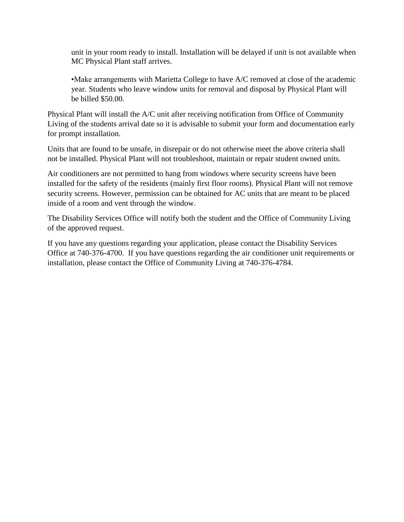unit in your room ready to install. Installation will be delayed if unit is not available when MC Physical Plant staff arrives.

•Make arrangements with Marietta College to have A/C removed at close of the academic year. Students who leave window units for removal and disposal by Physical Plant will be billed \$50.00.

Physical Plant will install the A/C unit after receiving notification from Office of Community Living of the students arrival date so it is advisable to submit your form and documentation early for prompt installation.

Units that are found to be unsafe, in disrepair or do not otherwise meet the above criteria shall not be installed. Physical Plant will not troubleshoot, maintain or repair student owned units.

Air conditioners are not permitted to hang from windows where security screens have been installed for the safety of the residents (mainly first floor rooms). Physical Plant will not remove security screens. However, permission can be obtained for AC units that are meant to be placed inside of a room and vent through the window.

The Disability Services Office will notify both the student and the Office of Community Living of the approved request.

If you have any questions regarding your application, please contact the Disability Services Office at 740-376-4700. If you have questions regarding the air conditioner unit requirements or installation, please contact the Office of Community Living at 740-376-4784.